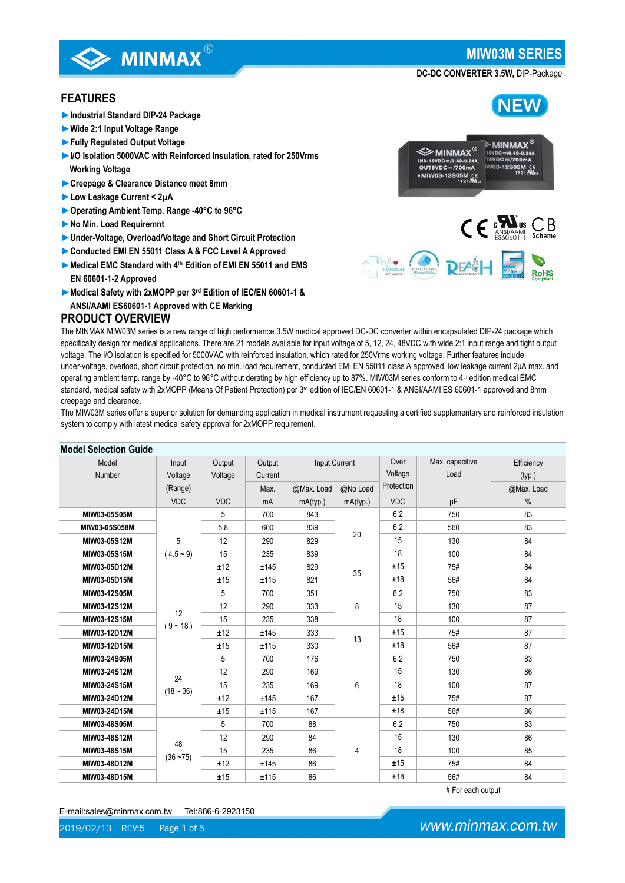**NFW** 

#### **DC-DC CONVERTER 3.5W,** DIP-Package

### **FEATURES**

**►Industrial Standard DIP-24 Package**

**SPENING WINDING** 

- **►Wide 2:1 Input Voltage Range**
- **►Fully Regulated Output Voltage**
- **►I/O Isolation 5000VAC with Reinforced Insulation, rated for 250Vrms Working Voltage**
- **►Creepage & Clearance Distance meet 8mm**
- **►Low Leakage Current < 2μA**
- **►Operating Ambient Temp. Range -40°C to 96°C**
- **►No Min. Load Requiremnt**
- **►Under-Voltage, Overload/Voltage and Short Circuit Protection**
- **►Conducted EMI EN 55011 Class A & FCC Level A Approved**
- **►Medical EMC Standard with 4th Edition of EMI EN 55011 and EMS EN 60601-1-2 Approved**
- **►Medical Safety with 2xMOPP per 3rd Edition of IEC/EN 60601-1 & ANSI/AAMI ES60601-1 Approved with CE Marking**

### **PRODUCT OVERVIEW**



**DEA&H** 



The MIW03M series offer a superior solution for demanding application in medical instrument requesting a certified supplementary and reinforced insulation system to comply with latest medical safety approval for 2xMOPP requirement.

| <b>Model Selection Guide</b> |                   |            |         |               |          |            |                 |            |
|------------------------------|-------------------|------------|---------|---------------|----------|------------|-----------------|------------|
| Model                        | Input             | Output     | Output  | Input Current |          | Over       | Max. capacitive | Efficiency |
| Number                       | Voltage           | Voltage    | Current |               |          | Voltage    | Load            | (typ.)     |
|                              | (Range)           |            | Max.    | @Max. Load    | @No Load | Protection |                 | @Max. Load |
|                              | <b>VDC</b>        | <b>VDC</b> | mA      | mA(typ.)      | mA(typ.) | <b>VDC</b> | μF              | $\%$       |
| MIW03-05S05M                 |                   | 5          | 700     | 843           | 20<br>35 | 6.2        | 750             | 83         |
| MIW03-05S058M                |                   | 5.8        | 600     | 839           |          | 6.2        | 560             | 83         |
| MIW03-05S12M                 | 5                 | 12         | 290     | 829           |          | 15         | 130             | 84         |
| MIW03-05S15M                 | $(4.5 - 9)$       | 15         | 235     | 839           |          | 18         | 100             | 84         |
| MIW03-05D12M                 |                   | ±12        | ±145    | 829           |          | ±15        | 75#             | 84         |
| MIW03-05D15M                 |                   | ±15        | ±115    | 821           |          | ±18        | 56#             | 84         |
| MIW03-12S05M                 |                   | 5          | 700     | 351           | 8<br>13  | 6.2        | 750             | 83         |
| MIW03-12S12M                 | 12<br>$(9 - 18)$  | 12         | 290     | 333           |          | 15         | 130             | 87         |
| MIW03-12S15M                 |                   | 15         | 235     | 338           |          | 18         | 100             | 87         |
| MIW03-12D12M                 |                   | ±12        | ±145    | 333           |          | ±15        | 75#             | 87         |
| MIW03-12D15M                 |                   | ±15        | ±115    | 330           |          | ±18        | 56#             | 87         |
| MIW03-24S05M                 |                   | 5          | 700     | 176           |          | 6.2        | 750             | 83         |
| MIW03-24S12M                 | 24                | 12         | 290     | 169           |          | 15         | 130             | 86         |
| MIW03-24S15M                 | $(18 - 36)$       | 15         | 235     | 169           | 6        | 18         | 100             | 87         |
| MIW03-24D12M                 |                   | ±12        | ±145    | 167           |          | ±15        | 75#             | 87         |
| MIW03-24D15M                 |                   | ±15        | ±115    | 167           |          | ±18        | 56#             | 86         |
| MIW03-48S05M                 |                   | 5          | 700     | 88            |          | 6.2        | 750             | 83         |
| MIW03-48S12M                 |                   | 12         | 290     | 84            |          | 15         | 130             | 86         |
| MIW03-48S15M                 | 48<br>$(36 - 75)$ | 15         | 235     | 86            | 4        | 18         | 100             | 85         |
| MIW03-48D12M                 |                   | ±12        | ±145    | 86            |          | ±15        | 75#             | 84         |
| MIW03-48D15M                 |                   | ±15        | ±115    | 86            |          | ±18        | 56#             | 84         |

### # For each output



www.minmax.com.tw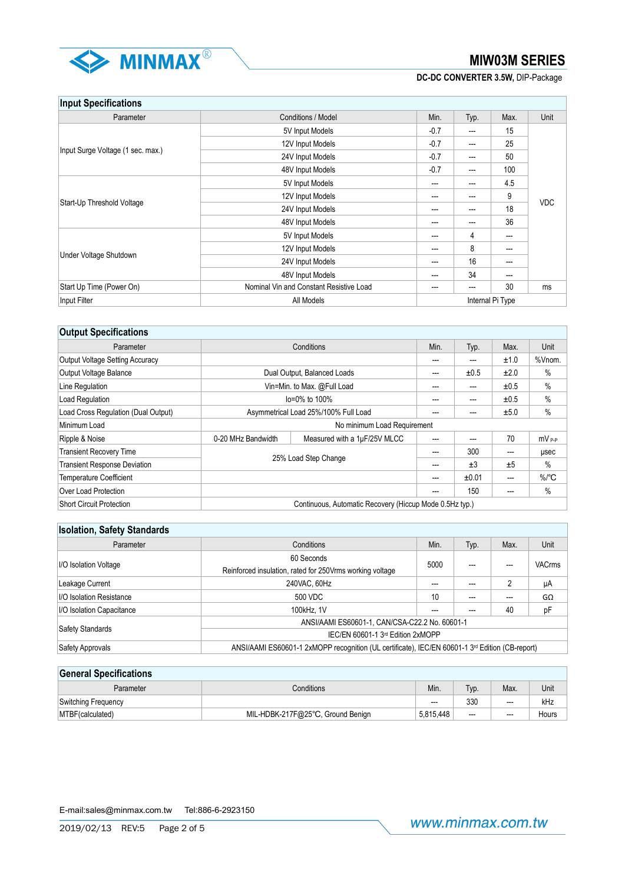

**DC-DC CONVERTER 3.5W,** DIP-Package

## **Input Specifications**

| <b>ILINAL ANAAIIIANIIAIIA</b>     |                                         |                  |       |       |            |
|-----------------------------------|-----------------------------------------|------------------|-------|-------|------------|
| Parameter                         | Conditions / Model                      | Min.             | Typ.  | Max.  | Unit       |
|                                   | 5V Input Models                         | $-0.7$           | $---$ | 15    |            |
|                                   | 12V Input Models                        |                  | $--$  | 25    |            |
| Input Surge Voltage (1 sec. max.) | 24V Input Models                        |                  | $---$ | 50    |            |
|                                   | 48V Input Models                        | $-0.7$           | $---$ | 100   |            |
|                                   | 5V Input Models                         | $---$            | $---$ | 4.5   |            |
|                                   | 12V Input Models                        | ---              | ---   | 9     |            |
| Start-Up Threshold Voltage        | 24V Input Models                        |                  | ---   | 18    | <b>VDC</b> |
|                                   | 48V Input Models                        | ---              | $---$ | 36    |            |
|                                   | 5V Input Models                         | ---              | 4     | $---$ |            |
|                                   | 12V Input Models                        | ---              | 8     | ---   |            |
| Under Voltage Shutdown            | 24V Input Models                        | ---              | 16    | ---   |            |
|                                   | 48V Input Models                        | ---              | 34    | $---$ |            |
| Start Up Time (Power On)          | Nominal Vin and Constant Resistive Load | ---              | ---   | 30    | ms         |
| Input Filter                      | All Models                              | Internal Pi Type |       |       |            |

| <b>Output Specifications</b>        |                                                    |                                                         |     |       |      |                     |
|-------------------------------------|----------------------------------------------------|---------------------------------------------------------|-----|-------|------|---------------------|
| Parameter                           | Conditions                                         |                                                         |     | Typ.  | Max. | Unit                |
| Output Voltage Setting Accuracy     |                                                    |                                                         |     | ---   | ±1.0 | %Vnom.              |
| Output Voltage Balance              |                                                    | Dual Output, Balanced Loads                             | --- | ±0.5  | ±2.0 | %                   |
| Line Regulation                     |                                                    | Vin=Min. to Max. @Full Load                             | --- | ---   | ±0.5 | $\%$                |
| Load Regulation                     |                                                    | lo=0% to 100%                                           |     | ---   | ±0.5 | $\%$                |
| Load Cross Regulation (Dual Output) | Asymmetrical Load 25%/100% Full Load               |                                                         | --- |       | ±5.0 | $\%$                |
| Minimum Load                        |                                                    | No minimum Load Requirement                             |     |       |      |                     |
| Ripple & Noise                      | Measured with a 1µF/25V MLCC<br>0-20 MHz Bandwidth |                                                         | --- | ---   | 70   | $mV_{P.P}$          |
| <b>Transient Recovery Time</b>      |                                                    |                                                         | --- | 300   | ---  | usec                |
| <b>Transient Response Deviation</b> | 25% Load Step Change                               |                                                         | --- | ±3    | ±5   | %                   |
| <b>Temperature Coefficient</b>      |                                                    |                                                         | --- | ±0.01 | ---  | $\%$ <sup>o</sup> C |
| Over Load Protection                |                                                    |                                                         | --- | 150   | ---  | %                   |
| <b>Short Circuit Protection</b>     |                                                    | Continuous, Automatic Recovery (Hiccup Mode 0.5Hz typ.) |     |       |      |                     |

## **Isolation, Safety Standards**

| Parameter                 | Conditions                                                                                      | Min. | Typ. | Max. | Unit          |  |
|---------------------------|-------------------------------------------------------------------------------------------------|------|------|------|---------------|--|
|                           | 60 Seconds                                                                                      | 5000 |      |      |               |  |
| I/O Isolation Voltage     | Reinforced insulation, rated for 250 Vrms working voltage                                       |      |      |      | <b>VACrms</b> |  |
| Leakage Current           | 240VAC, 60Hz                                                                                    |      |      |      | μA            |  |
| I/O Isolation Resistance  | 500 VDC                                                                                         |      | ---  |      | GΩ            |  |
| I/O Isolation Capacitance | 100kHz, 1V                                                                                      | ---  | ---  | 40   | pF            |  |
|                           | ANSI/AAMI ES60601-1, CAN/CSA-C22.2 No. 60601-1                                                  |      |      |      |               |  |
| Safety Standards          | IEC/EN 60601-1 3rd Edition 2xMOPP                                                               |      |      |      |               |  |
| Safety Approvals          | ANSI/AAMI ES60601-1 2xMOPP recognition (UL certificate), IEC/EN 60601-1 3rd Edition (CB-report) |      |      |      |               |  |

## **General Specifications** Parameter Conditions Conditions Conditions (Nin. | Typ. | Max. | Unit Switching Frequency **According Frequency COVID-19 COVID-2010** --- According Frequency **COVID-2010** --- RHz MTBF(calculated) MIL-HDBK-217F@25℃, Ground Benign 5,815,448 -- - Hours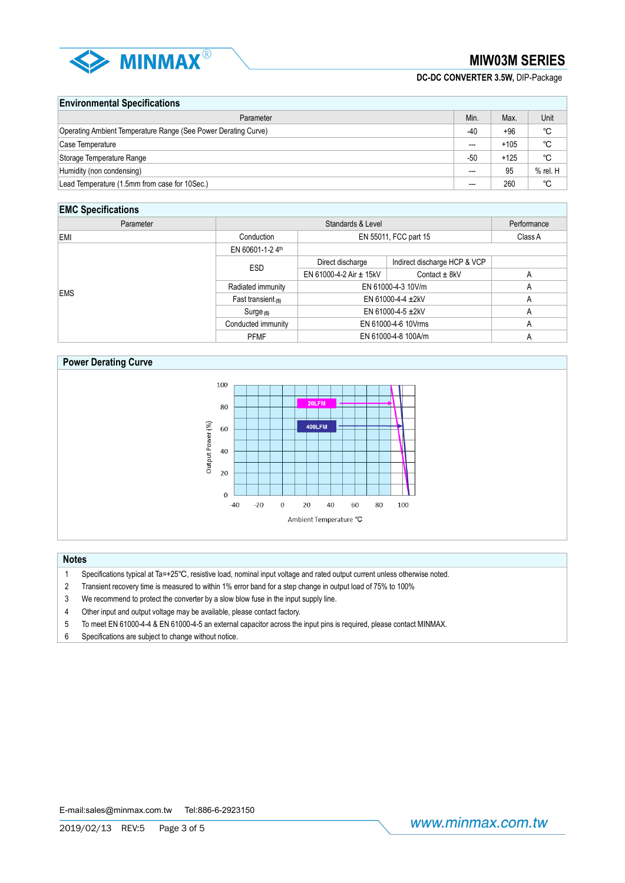

**DC-DC CONVERTER 3.5W,** DIP-Package

### **Environmental Specifications**

| Parameter                                                      | Min.                     | Max.   | Unit     |
|----------------------------------------------------------------|--------------------------|--------|----------|
| Operating Ambient Temperature Range (See Power Derating Curve) | -40                      | $+96$  | °C       |
| Case Temperature                                               | $\overline{\phantom{a}}$ | $+105$ | °C       |
| Storage Temperature Range                                      | $-50$                    | $+125$ | °C       |
| Humidity (non condensing)                                      | ---                      | 95     | % rel. H |
| Lead Temperature (1.5mm from case for 10Sec.)                  | ---                      | 260    | °C       |

## **EMC Specifications**

| ---------------- |                      |                             |                              |   |
|------------------|----------------------|-----------------------------|------------------------------|---|
| Parameter        |                      | Performance                 |                              |   |
| EMI              | Conduction           | EN 55011, FCC part 15       | Class A                      |   |
|                  | EN 60601-1-2 4th     |                             |                              |   |
|                  | <b>ESD</b>           | Direct discharge            | Indirect discharge HCP & VCP |   |
|                  |                      | EN 61000-4-2 Air $\pm$ 15kV | Contact $\pm$ 8kV            | A |
| <b>EMS</b>       | Radiated immunity    | EN 61000-4-3 10V/m          |                              | A |
|                  | Fast transient $(5)$ | EN 61000-4-4 ±2kV           |                              | A |
|                  | $Surge_{(5)}$        | EN 61000-4-5 ±2kV           |                              | A |
|                  | Conducted immunity   | EN 61000-4-6 10Vrms         |                              | A |
|                  | <b>PFMF</b>          | EN 61000-4-8 100A/m         | A                            |   |

### **Power Derating Curve**



#### **Notes**

- 1 Specifications typical at Ta=+25℃, resistive load, nominal input voltage and rated output current unless otherwise noted.
- 2 Transient recovery time is measured to within 1% error band for a step change in output load of 75% to 100%
- 3 We recommend to protect the converter by a slow blow fuse in the input supply line.
- 4 Other input and output voltage may be available, please contact factory.
- 5 To meet EN 61000-4-4 & EN 61000-4-5 an external capacitor across the input pins is required, please contact MINMAX.
- 6 Specifications are subject to change without notice.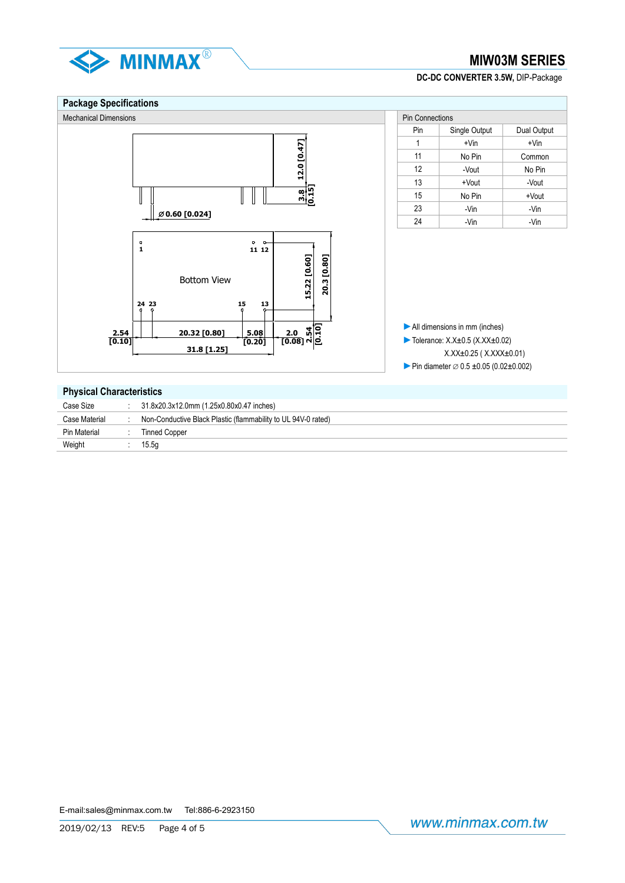

### **DC-DC CONVERTER 3.5W,** DIP-Package

#### **Package Specifications** Mechanical Dimensions Pin Connections Pin Connections Pin Connections Pin Connections Pin Connections Pin Connections Pin | Single Output | Dual Output 12.0 [0.47] 1  $+V$ in  $+V$ in **12.0 [0.47]** 11 | No Pin | Common 12 -Vout No Pin 13 +Vout -Vout **3.8 [0.15]**  $\|\;\|$ 15 No Pin +Vout 23 | -Vin | -Vin **0.60 [0.024]** 24 | -Vin | -Vin **1 11 12** 15.22 [0.60] 20.3 [0.80] **15.22 [0.60] 20.3 [0.80]** Bottom View **24 15 13 23 ►**All dimensions in mm (inches) **2.0 [0.08] 2.54 [0.10]20.32 [0.80] 5.08 2.54 [0.10] ►**Tolerance: X.X±0.5 (X.XX±0.02) **[0.20] 31.8 [1.25]** X.XX±0.25 ( X.XXX±0.01) ► Pin diameter  $\varnothing$  0.5 ±0.05 (0.02±0.002) **Physical Characteristics**

| Case Size     | 31.8x20.3x12.0mm (1.25x0.80x0.47 inches)                      |
|---------------|---------------------------------------------------------------|
| Case Material | Non-Conductive Black Plastic (flammability to UL 94V-0 rated) |
| Pin Material  | Tinned Copper                                                 |
| Weight        | 15.5a                                                         |
|               |                                                               |

E-mail:sales@minmax.com.tw Tel:886-6-2923150